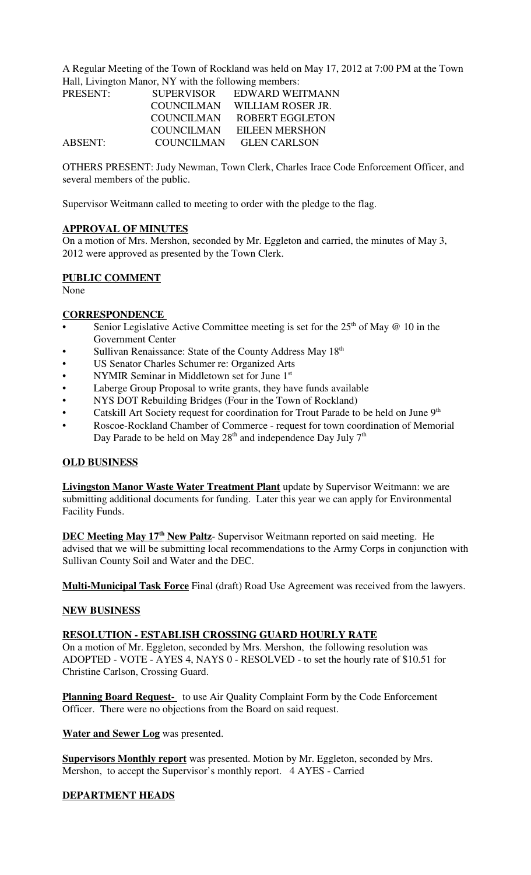A Regular Meeting of the Town of Rockland was held on May 17, 2012 at 7:00 PM at the Town Hall, Livington Manor, NY with the following members:

| PRESENT: | <b>SUPERVISOR</b> | EDWARD WEITMANN        |
|----------|-------------------|------------------------|
|          | COUNCILMAN        | WILLIAM ROSER JR.      |
|          | <b>COUNCILMAN</b> | <b>ROBERT EGGLETON</b> |
|          | COUNCILMAN        | EILEEN MERSHON         |
| ABSENT:  | <b>COUNCILMAN</b> | <b>GLEN CARLSON</b>    |

OTHERS PRESENT: Judy Newman, Town Clerk, Charles Irace Code Enforcement Officer, and several members of the public.

Supervisor Weitmann called to meeting to order with the pledge to the flag.

## **APPROVAL OF MINUTES**

On a motion of Mrs. Mershon, seconded by Mr. Eggleton and carried, the minutes of May 3, 2012 were approved as presented by the Town Clerk.

### **PUBLIC COMMENT**

None

## **CORRESPONDENCE**

- Senior Legislative Active Committee meeting is set for the  $25<sup>th</sup>$  of May @ 10 in the Government Center
- Sullivan Renaissance: State of the County Address May 18<sup>th</sup>
- US Senator Charles Schumer re: Organized Arts
- NYMIR Seminar in Middletown set for June 1st
- Laberge Group Proposal to write grants, they have funds available
- NYS DOT Rebuilding Bridges (Four in the Town of Rockland)
- Catskill Art Society request for coordination for Trout Parade to be held on June 9<sup>th</sup>
- Roscoe-Rockland Chamber of Commerce request for town coordination of Memorial Day Parade to be held on May  $28<sup>th</sup>$  and independence Day July  $7<sup>th</sup>$

### **OLD BUSINESS**

**Livingston Manor Waste Water Treatment Plant** update by Supervisor Weitmann: we are submitting additional documents for funding. Later this year we can apply for Environmental Facility Funds.

**DEC Meeting May 17<sup>th</sup> New Paltz**- Supervisor Weitmann reported on said meeting. He advised that we will be submitting local recommendations to the Army Corps in conjunction with Sullivan County Soil and Water and the DEC.

**Multi-Municipal Task Force** Final (draft) Road Use Agreement was received from the lawyers.

#### **NEW BUSINESS**

## **RESOLUTION - ESTABLISH CROSSING GUARD HOURLY RATE**

On a motion of Mr. Eggleton, seconded by Mrs. Mershon, the following resolution was ADOPTED - VOTE - AYES 4, NAYS 0 - RESOLVED - to set the hourly rate of \$10.51 for Christine Carlson, Crossing Guard.

**Planning Board Request-** to use Air Quality Complaint Form by the Code Enforcement Officer. There were no objections from the Board on said request.

**Water and Sewer Log** was presented.

**Supervisors Monthly report** was presented. Motion by Mr. Eggleton, seconded by Mrs. Mershon, to accept the Supervisor's monthly report. 4 AYES - Carried

## **DEPARTMENT HEADS**